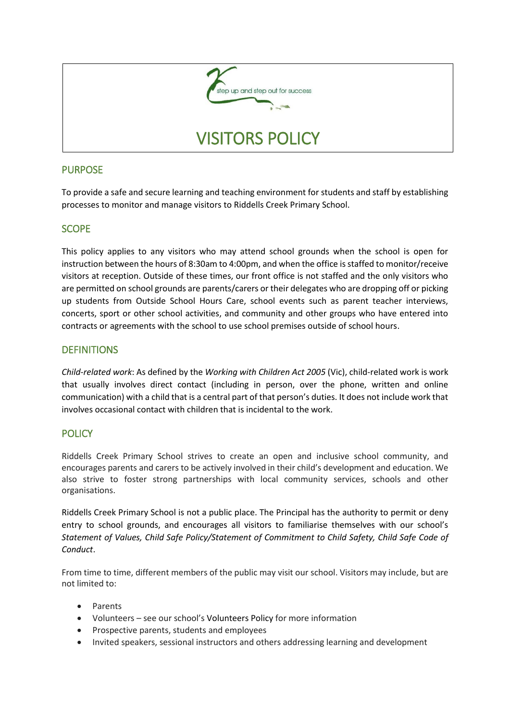

### PURPOSE

To provide a safe and secure learning and teaching environment for students and staff by establishing processes to monitor and manage visitors to Riddells Creek Primary School.

# **SCOPE**

This policy applies to any visitors who may attend school grounds when the school is open for instruction between the hours of 8:30am to 4:00pm, and when the office is staffed to monitor/receive visitors at reception. Outside of these times, our front office is not staffed and the only visitors who are permitted on school grounds are parents/carers or their delegates who are dropping off or picking up students from Outside School Hours Care, school events such as parent teacher interviews, concerts, sport or other school activities, and community and other groups who have entered into contracts or agreements with the school to use school premises outside of school hours.

### **DEFINITIONS**

*Child-related work*: As defined by the *Working with Children Act 2005* (Vic), child-related work is work that usually involves direct contact (including in person, over the phone, written and online communication) with a child that is a central part of that person's duties. It does not include work that involves occasional contact with children that is incidental to the work.

# **POLICY**

Riddells Creek Primary School strives to create an open and inclusive school community, and encourages parents and carers to be actively involved in their child's development and education. We also strive to foster strong partnerships with local community services, schools and other organisations.

Riddells Creek Primary School is not a public place. The Principal has the authority to permit or deny entry to school grounds, and encourages all visitors to familiarise themselves with our school's *Statement of Values, Child Safe Policy/Statement of Commitment to Child Safety, Child Safe Code of Conduct*.

From time to time, different members of the public may visit our school. Visitors may include, but are not limited to:

- Parents
- Volunteers see our school's Volunteers Policy for more information
- Prospective parents, students and employees
- Invited speakers, sessional instructors and others addressing learning and development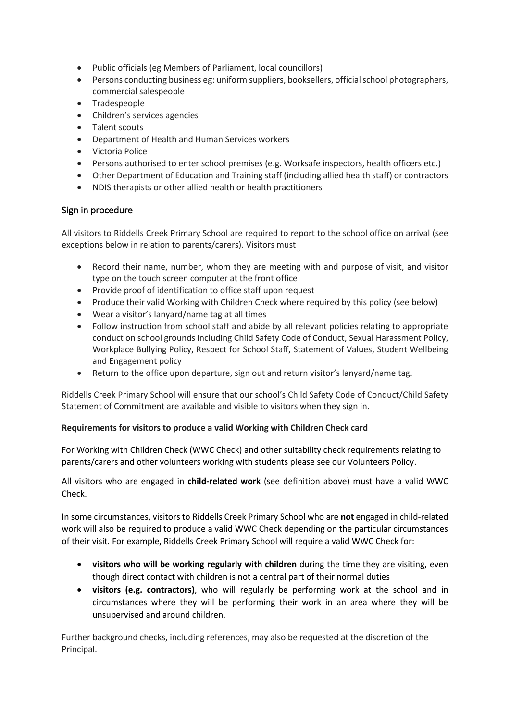- Public officials (eg Members of Parliament, local councillors)
- Persons conducting business eg: uniform suppliers, booksellers, official school photographers, commercial salespeople
- Tradespeople
- Children's services agencies
- Talent scouts
- Department of Health and Human Services workers
- Victoria Police
- Persons authorised to enter school premises (e.g. Worksafe inspectors, health officers etc.)
- Other Department of Education and Training staff (including allied health staff) or contractors
- NDIS therapists or other allied health or health practitioners

### Sign in procedure

All visitors to Riddells Creek Primary School are required to report to the school office on arrival (see exceptions below in relation to parents/carers). Visitors must

- Record their name, number, whom they are meeting with and purpose of visit, and visitor type on the touch screen computer at the front office
- Provide proof of identification to office staff upon request
- Produce their valid Working with Children Check where required by this policy (see below)
- Wear a visitor's lanyard/name tag at all times
- Follow instruction from school staff and abide by all relevant policies relating to appropriate conduct on school grounds including Child Safety Code of Conduct, Sexual Harassment Policy, Workplace Bullying Policy, Respect for School Staff, Statement of Values, Student Wellbeing and Engagement policy
- Return to the office upon departure, sign out and return visitor's lanyard/name tag.

Riddells Creek Primary School will ensure that our school's Child Safety Code of Conduct/Child Safety Statement of Commitment are available and visible to visitors when they sign in.

### **Requirements for visitors to produce a valid Working with Children Check card**

For Working with Children Check (WWC Check) and other suitability check requirements relating to parents/carers and other volunteers working with students please see our Volunteers Policy.

All visitors who are engaged in **child-related work** (see definition above) must have a valid WWC Check.

In some circumstances, visitors to Riddells Creek Primary School who are **not** engaged in child-related work will also be required to produce a valid WWC Check depending on the particular circumstances of their visit. For example, Riddells Creek Primary School will require a valid WWC Check for:

- **visitors who will be working regularly with children** during the time they are visiting, even though direct contact with children is not a central part of their normal duties
- **visitors (e.g. contractors)**, who will regularly be performing work at the school and in circumstances where they will be performing their work in an area where they will be unsupervised and around children.

Further background checks, including references, may also be requested at the discretion of the Principal.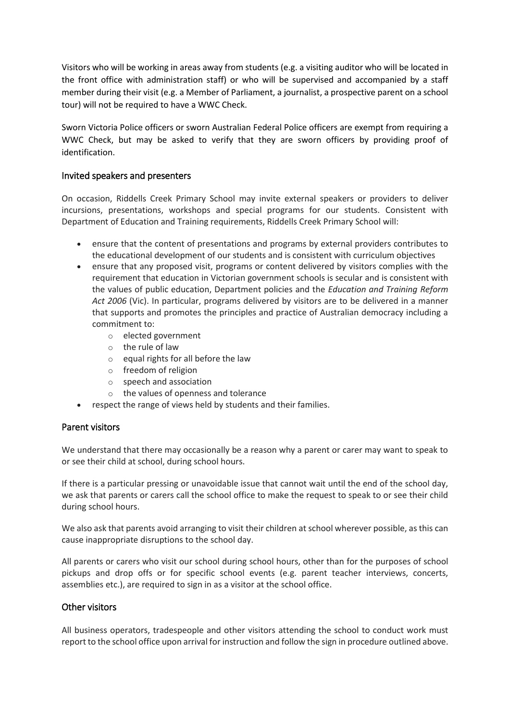Visitors who will be working in areas away from students (e.g. a visiting auditor who will be located in the front office with administration staff) or who will be supervised and accompanied by a staff member during their visit (e.g. a Member of Parliament, a journalist, a prospective parent on a school tour) will not be required to have a WWC Check.

Sworn Victoria Police officers or sworn Australian Federal Police officers are exempt from requiring a WWC Check, but may be asked to verify that they are sworn officers by providing proof of identification.

### Invited speakers and presenters

On occasion, Riddells Creek Primary School may invite external speakers or providers to deliver incursions, presentations, workshops and special programs for our students. Consistent with Department of Education and Training requirements, Riddells Creek Primary School will:

- ensure that the content of presentations and programs by external providers contributes to the educational development of our students and is consistent with curriculum objectives
- ensure that any proposed visit, programs or content delivered by visitors complies with the requirement that education in Victorian government schools is secular and is consistent with the values of public education, Department policies and the *Education and Training Reform Act 2006* (Vic). In particular, programs delivered by visitors are to be delivered in a manner that supports and promotes the principles and practice of Australian democracy including a commitment to:
	- o elected government
	- o the rule of law
	- $\circ$  equal rights for all before the law
	- o freedom of religion
	- o speech and association
	- o the values of openness and tolerance
- respect the range of views held by students and their families.

### Parent visitors

We understand that there may occasionally be a reason why a parent or carer may want to speak to or see their child at school, during school hours.

If there is a particular pressing or unavoidable issue that cannot wait until the end of the school day, we ask that parents or carers call the school office to make the request to speak to or see their child during school hours.

We also ask that parents avoid arranging to visit their children at school wherever possible, as this can cause inappropriate disruptions to the school day.

All parents or carers who visit our school during school hours, other than for the purposes of school pickups and drop offs or for specific school events (e.g. parent teacher interviews, concerts, assemblies etc.), are required to sign in as a visitor at the school office.

#### Other visitors

All business operators, tradespeople and other visitors attending the school to conduct work must report to the school office upon arrival for instruction and follow the sign in procedure outlined above.